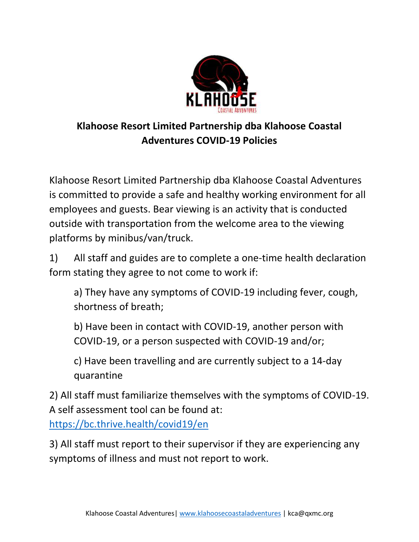

## **Klahoose Resort Limited Partnership dba Klahoose Coastal Adventures COVID-19 Policies**

Klahoose Resort Limited Partnership dba Klahoose Coastal Adventures is committed to provide a safe and healthy working environment for all employees and guests. Bear viewing is an activity that is conducted outside with transportation from the welcome area to the viewing platforms by minibus/van/truck.

1) All staff and guides are to complete a one-time health declaration form stating they agree to not come to work if:

a) They have any symptoms of COVID-19 including fever, cough, shortness of breath;

b) Have been in contact with COVID-19, another person with COVID-19, or a person suspected with COVID-19 and/or;

c) Have been travelling and are currently subject to a 14-day quarantine

2) All staff must familiarize themselves with the symptoms of COVID-19. A self assessment tool can be found at:

<https://bc.thrive.health/covid19/en>

3) All staff must report to their supervisor if they are experiencing any symptoms of illness and must not report to work.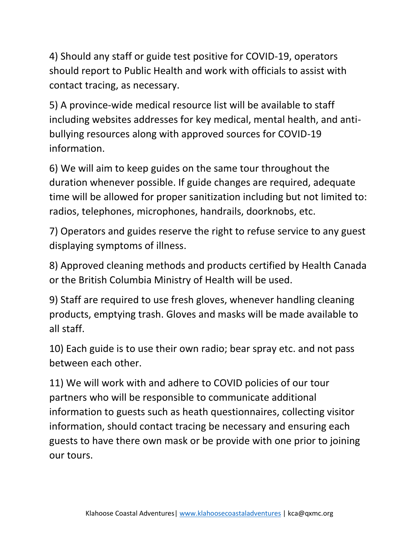4) Should any staff or guide test positive for COVID-19, operators should report to Public Health and work with officials to assist with contact tracing, as necessary.

5) A province-wide medical resource list will be available to staff including websites addresses for key medical, mental health, and antibullying resources along with approved sources for COVID-19 information.

6) We will aim to keep guides on the same tour throughout the duration whenever possible. If guide changes are required, adequate time will be allowed for proper sanitization including but not limited to: radios, telephones, microphones, handrails, doorknobs, etc.

7) Operators and guides reserve the right to refuse service to any guest displaying symptoms of illness.

8) Approved cleaning methods and products certified by Health Canada or the British Columbia Ministry of Health will be used.

9) Staff are required to use fresh gloves, whenever handling cleaning products, emptying trash. Gloves and masks will be made available to all staff.

10) Each guide is to use their own radio; bear spray etc. and not pass between each other.

11) We will work with and adhere to COVID policies of our tour partners who will be responsible to communicate additional information to guests such as heath questionnaires, collecting visitor information, should contact tracing be necessary and ensuring each guests to have there own mask or be provide with one prior to joining our tours.